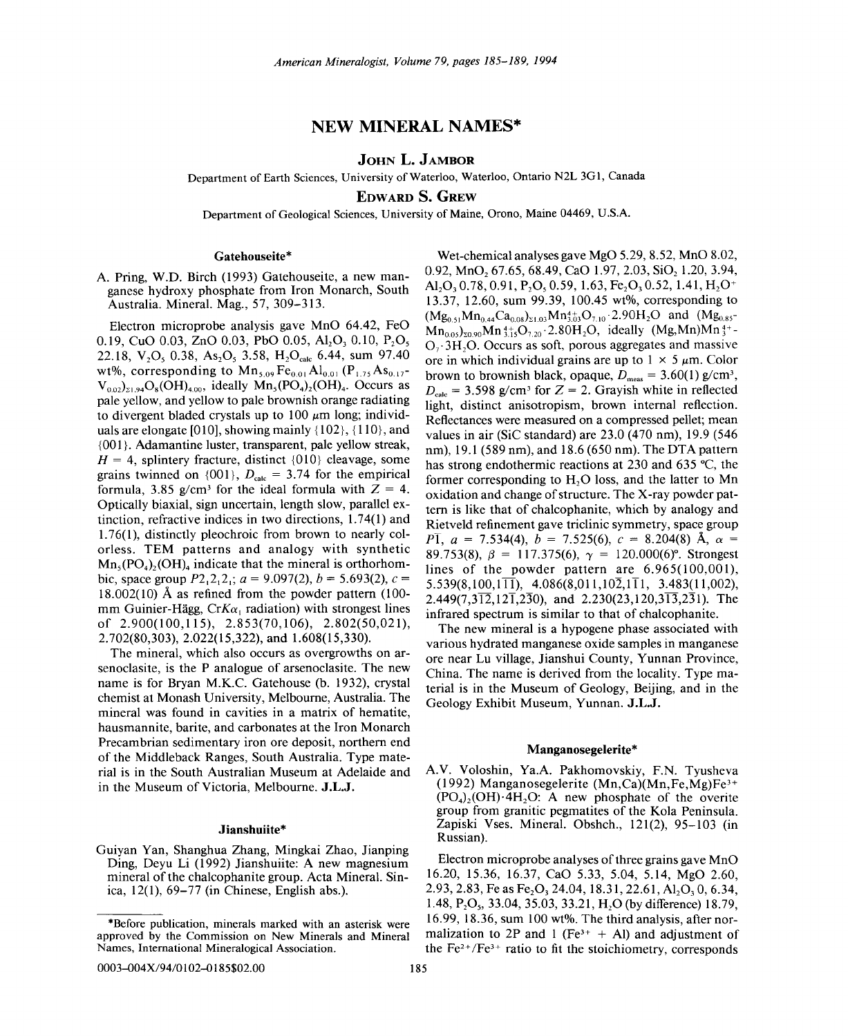# **NEW MINERAL NAMES\***

# **JOHN L. JAMBOR**

Department of Earth Sciences, University of Waterloo, Waterloo, Ontario N2L 3G 1, Canada

**EDWARD S. GREW**

Department of Geological Sciences, University of Maine, Orono, Maine 04469, U.S.A.

### **Gatehouseite\***

A. Pring, W.D. Birch (1993) Gatehouseite, a new manganese hydroxy phosphate from Iron Monarch, South Australia. Mineral. Mag., 57, 309-313.

Electron microprobe analysis gave MnO 64.42, FeO 0.19, CuO 0.03, ZnO 0.03, PbO 0.05, Al<sub>2</sub>O<sub>3</sub> 0.10, P<sub>2</sub>O<sub>5</sub> 22.18, V<sub>2</sub>O<sub>s</sub> 0.38, As<sub>2</sub>O<sub>s</sub> 3.58, H<sub>2</sub>O<sub>calc</sub> 6.44, sum 97.40 wt%, corresponding to  $Mn_{5.09}Fe_{0.01}Al_{0.01} (P_{1.75}As_{0.17}$ - $V_{0.02}$ <sub>2.1.94</sub>O<sub>8</sub>(OH)<sub>4.00</sub>, ideally Mn<sub>5</sub>(PO<sub>4</sub>)<sub>2</sub>(OH)<sub>4</sub>. Occurs as paie yellow, and yellow to pale brownish orange radiating to divergent bladed crystals up to 100  $\mu$ m long; individuals are elongate [010], showing mainly {102}, {110}, and {001}. Adamantine luster, transparent, pale yellow streak,  $H = 4$ , splintery fracture, distinct  $\{010\}$  cleavage, some grains twinned on  $\{001\}$ ,  $D_{\text{calc}} = 3.74$  for the empirical formula, 3.85 g/cm<sup>3</sup> for the ideal formula with  $Z = 4$ . Optically biaxial, sign uncertain, length slow, parallel extinction, refractive indices in two directions, 1.74(1) and 1.76(1), distinctly pleochroic from brown to nearly colorless. TEM patterns and analogy with synthetic  $Mn_s(PO_4)$ , (OH)<sub>4</sub> indicate that the mineral is orthorhombic, space group  $P2,2,2$ ;  $a = 9.097(2), b = 5.693(2), c =$  $18.002(10)$  Å as refined from the powder pattern (100mm Guinier-Hägg,  $CrK\alpha_1$  radiation) with strongest lines of 2.900(100,115), 2.853(70,106), 2.802(50,021), 2.702(80,303), 2.022(15,322), and 1.608(15,330).

The mineral, which also occurs as overgrowths on arsenoclasite, is the P analogue of arsenoclasite. The new name is for Bryan M.K.C. Gatehouse (b. 1932), crystal chemist at Monash University, Melbourne, Australia. The mineral was found in cavities in a matrix of hematite, hausmannite, barite, and carbonates at the Iron Monarch Precambrian sedimentary iron ore deposit, northern end of the Middleback Ranges, South Australia. Type material is in the South Australian Museum at Adelaide and in the Museum of Victoria, Melbourne. **J.L.J.**

# **Jianshuiite\***

Guiyan Yan, Shanghua Zhang, Mingkai Zhao, Jianping Ding, Deyu Li (1992) Jianshuiite: A new magnesium mineral of the chalcophanite group. Acta Mineral. Sinica, 12(1), 69-77 (in Chinese, English abs.).

Wet-chemical analyses gave MgO 5.29, 8.52, MnO 8.02, 0.92, MnO<sub>2</sub> 67.65, 68.49, CaO 1.97, 2.03, SiO<sub>2</sub> 1.20, 3.94, Al<sub>2</sub>O<sub>3</sub> 0.78, 0.91, P<sub>2</sub>O<sub>3</sub> 0.59, 1.63, Fe<sub>2</sub>O<sub>3</sub> 0.52, 1.41, H<sub>2</sub>O<sup>+</sup> 13.37, 12.60, sum 99.39, 100.45 wt%, corresponding to  $(Mg_{0.51}Mn_{0.44}Ca_{0.08})_{\Sigma1.03}Mn_{3.03}^{4+}O_{7.10}\cdot 2.90H_2O$  and  $(Mg_{0.85}^{-})$  $Mn_{0.05}$ <sub>20.90</sub> $Mn_{315}^{4+}O_{2.20}$  - 2.80H<sub>2</sub>O, ideally  $(Mg, Mn)Mn_{3}^{4+}$  $O<sub>7</sub>$ . 3H, O. Occurs as soft, porous aggregates and massive ore in which individual grains are up to  $1 \times 5 \mu$ m. Color brown to brownish black, opaque,  $D_{\text{meas}} = 3.60(1) \text{ g/cm}^3$ ,  $D_{\text{calc}} = 3.598$  g/cm<sup>3</sup> for  $Z = 2$ . Grayish white in reflected light, distinct anisotropism, brown internal reflection. Reflectances were measured on a compressed pellet; mean values in air (SiC standard) are 23.0 (470 nm), 19.9 (546 nm), 19.1 (589 nm), and 18.6 (650 nm). The DTA pattern has strong endothermic reactions at 230 and 635°C, the former corresponding to  $H<sub>2</sub>O$  loss, and the latter to Mn oxidation and change of structure. The X-ray powder pattern is like that of chalcophanite, which by analogy and Rietveld refinement gave triclinic symmetry, space group *P*I,  $a = 7.534(4)$ ,  $b = 7.525(6)$ ,  $c = 8.204(8)$  Å,  $\alpha =$ 89.753(8),  $\beta = 117.375(6)$ ,  $\gamma = 120.000(6)$ °. Strongest lines of the powder pattern are 6.965(100,001),  $5.539(8.100.1\overline{11})$ ,  $4.086(8.011.10\overline{2}.1\overline{11})$ ,  $3.483(11.002)$ , 2.449(7,3 $\overline{12}$ ,12 $\overline{1}$ ,2 $\overline{3}$ 0), and 2.230(23,120,3 $\overline{13}$ ,2 $\overline{3}$ 1). The infrared spectrum is similar to that of chalcophanite. The new mineral is a hypogene phase associated with

various hydrated manganese oxide samples in manganese ore near Lu village, Jianshui County, Yunnan Province, China. The name is derived from the locality. Type material is in the Museum of Geology, Beijing, and in the Geology Exhibit Museum, Yunnan. **J.L.J.**

#### **Manganosegelerite\***

A.V. Voloshin, Ya.A. Pakhomovskiy, F.N. Tyusheva (1992) Manganosegelerite  $(Mn, Ca)(Mn, Fe, Mg)Fe<sup>3+</sup>$  $(PO<sub>4</sub>), (OH) \cdot 4H$ <sub>2</sub>O: A new phosphate of the overite group from granitic pegmatites of the Kola Peninsula. Zapiski Vses. Mineral. Obshch., 121(2), 95-103 (in Russian).

Electron microprobe analyses of three grains gave MnO 16.20, 15.36, 16.37, CaO 5.33, 5.04, 5.14, MgO 2.60, 2.93, 2.83, Fe as Fe<sub>2</sub>O<sub>3</sub> 24.04, 18.31, 22.61, Al<sub>2</sub>O<sub>3</sub> 0, 6.34, 1.48,  $P_2O_5$ , 33.04, 35.03, 33.21, H<sub>2</sub>O (by difference) 18.79, 16.99, 18.36, sum 100 wt%. The third analysis, after normalization to 2P and 1 ( $Fe<sup>3+</sup> + Al$ ) and adjustment of the  $Fe<sup>2+</sup>/Fe<sup>3+</sup>$  ratio to fit the stoichiometry, corresponds

<sup>\*</sup>Before publication, minerals marked with an asterisk were approved by the Commission on New Minerals and Mineral Names, International Mineralogical Association.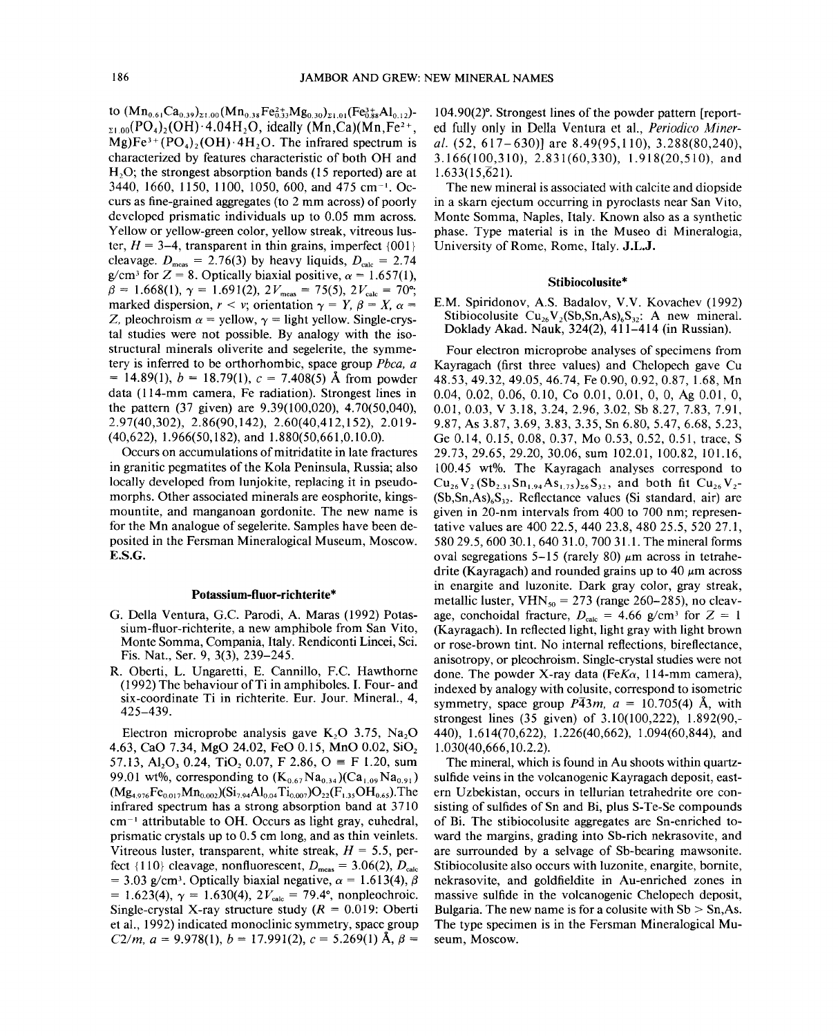to  $(Mn_{0.61}Ca_{0.39})_{\Sigma1.00} (Mn_{0.38}Fe_{0.33}^{2+}Mg_{0.30})_{\Sigma1.01} (Fe_{0.88}^{3+}Al_{0.12})$ - $_{21,00}(PO_4)_{2}(OH)$  · 4.04H<sub>2</sub>O, ideally (Mn,Ca)(Mn,Fe<sup>2+</sup>,  $Mg$ )Fe<sup>3+</sup>(PO<sub>4</sub>)<sub>2</sub>(OH)·4H<sub>2</sub>O. The infrared spectrum is characterized by features characteristic of both OH and  $H<sub>2</sub>O$ ; the strongest absorption bands (15 reported) are at 3440, 1660, 1150, 1100, 1050, 600, and 475 cm<sup>-1</sup>. Occurs as fine-grained aggregates (to 2 mm across) of poorly developed prismatic individuals up to 0.05 mm across. Yellow or yellow-green color, yellow streak, vitreous luster,  $H = 3-4$ , transparent in thin grains, imperfect  $\{001\}$ cleavage.  $D_{\text{meas}} = 2.76(3)$  by heavy liquids,  $D_{\text{calc}} = 2.74$ g/cm<sup>3</sup> for Z = 8. Optically biaxial positive,  $\alpha$  = 1.657(1),  $\beta = 1.668(1), \gamma = 1.691(2), 2V_{\text{meas}} = 75(5), 2V_{\text{calc}} = 70^{\circ};$ marked dispersion,  $r < v$ ; orientation  $\gamma = Y$ ,  $\beta = X$ ,  $\alpha =$ Z, pleochroism  $\alpha$  = yellow,  $\gamma$  = light yellow. Single-crys tal studies were not possible. By analogy with the isostructural minerals oliverite and segelerite, the symmetery is inferred to be orthorhombic, space group *Pbca, a*  $= 14.89(1)$ ,  $b = 18.79(1)$ ,  $c = 7.408(5)$  Å from powder data (114-mm camera, Fe radiation). Strongest lines in the pattern (37 given) are 9.39(100,020), 4.70(50,040), 2.97(40,302), 2.86(90,142), 2.60(40,412,152), 2.019- (40,622), 1.966(50,182), and 1.880(50,661,0.10.0).

Occurs on accumulations of mitridatite in late fractures in granitic pegmatites of the Kola Peninsula, Russia; also locally developed from lunjokite, replacing it in pseudomorphs. Other associated minerals are eosphorite, kingsmountite, and manganoan gordonite. The new name is for the Mn analogue of segelerite. Samples have been deposited in the Fersman Mineralogical Museum, Moscow. E.S.G.

#### Potassium-fluor-richterite\*

- G. Della Ventura, G.C. Parodi, A. Maras (1992) Potassium-fluor-richterite, a new amphibole from San Vito, Monte Somma, Compania, Italy. Rendiconti Lincei, Sci. Fis. Nat., Ser. 9, 3(3), 239-245.
- R. Oberti, L. Ungaretti, E. Cannillo, F.C. Hawthorne  $(1992)$  The behaviour of Ti in amphiboles. I. Four- and six-coordinate Ti in richterite. Eur. Jour. Mineral., 4, 425-439.

Electron microprobe analysis gave  $K_2O$  3.75, Na<sub>2</sub>O 4.63, CaO 7.34, MgO 24.02, FeO 0.15, MnO 0.02, SiO<sub>2</sub> 57.13, Al<sub>2</sub>O<sub>3</sub> 0.24, TiO<sub>2</sub> 0.07, F 2.86, O = F 1.20, sum 99.01 wt%, corresponding to  $(K_{0.67}Na_{0.34})(Ca_{1.09}Na_{0.91})$  $(Mg_{4.976}Fe_{0.017}Mn_{0.002})(Si_{7.94}Al_{0.04}Ti_{0.007})O_{22}(F_{1.35}OH_{0.65})$ . The infrared spectrum has a strong absorption band at 3710  $cm^{-1}$  attributable to OH. Occurs as light gray, euhedral, prismatic crystals up to 0.5 cm long, and as thin veinlets. Vitreous luster, transparent, white streak,  $H = 5.5$ , perfect  $\{110\}$  cleavage, nonfluorescent,  $D_{\text{meas}} = 3.06(2), D_{\text{calc}}$  $= 3.03$  g/cm<sup>3</sup>. Optically biaxial negative,  $\alpha = 1.613(4)$ ,  $\beta$  $= 1.623(4), \gamma = 1.630(4), 2V_{\text{calc}} = 79.4^{\circ}, \text{ nonpleochroi}.$ Single-crystal X-ray structure study  $(R = 0.019$ : Oberti et al., 1992) indicated monoclinic symmetry, space group *C2/m,*  $a = 9.978(1)$ ,  $b = 17.991(2)$ ,  $c = 5.269(1)$  Å,  $\beta =$  104.90(2)°. Strongest lines of the powder pattern [reported fully only in Della Ventura et aI., Periodico *Miner*al. (52, 617–630)] are 8.49(95,110), 3.288(80,240), 3.166(100,310),2.831(60,330), 1.918(20,510), and  $1.633(15,621)$ .

The new mineral is associated with calcite and diopside in a skarn ejectum occurring in pyroclasts near San Vito, Monte Somma, Naples, Italy. Known also as a synthetic phase. Type material is in the Museo di Mineralogia, University of Rome, Rome, Italy. J.L.J.

# Stibiocolusite\*

E.M. Spiridonov, A.S. Badalov, V.V. Kovachev (1992) Stibiocolusite  $Cu_{26}V_2(Sb, Sn, As)_{6}S_{32}$ : A new mineral. Doklady Akad. Nauk, 324(2), 411-414 (in Russian).

Four electron microprobe analyses of specimens from Kayragach (first three values) and Chelopech gave Cu 48.53,49.32,49.05,46.74, Fe 0.90,0.92,0.87,1.68, Mn 0.04, 0.02, 0.06, 0.10, Co 0.01, 0.01, 0, 0, Ag 0.01, 0, 0.01, 0.03, V 3.18, 3.24, 2.96, 3.02, Sb 8.27, 7.83, 7.91, 9.87, As 3.87, 3.69, 3.83, 3.35, Sn 6.80,5.47,6.68,5.23, Ge 0.14, 0.15, 0.08, 0.37, Mo 0.53, 0.52, 0.51, trace, S 29.73,29.65,29.20,30.06, sum 102.01, 100.82, 101.16, 100.45 wt%. The Kayragach analyses correspond to  $Cu_{26}V_2(Sb_{2,31}Sn_{1,94}As_{1,75})_{26}S_{32}$ , and both fit  $Cu_{26}V_2$ - $(Sb, Sn, As)_{6}S_{32}$ . Reflectance values (Si standard, air) are given in 20-nm intervals from 400 to 700 nm; representative values are 400 22.5, 440 23.8, 480 25.5,52027.1, 58029.5,60030.1,64031.0, 700 31.1. The mineral forms oval segregations 5-15 (rarely 80)  $\mu$ m across in tetrahedrite (Kayragach) and rounded grains up to 40  $\mu$ m across in enargite and luzonite. Dark gray color, gray streak, metallic luster,  $VHN_{50} = 273$  (range 260-285), no cleavage, conchoidal fracture,  $D_{\text{calc}} = 4.66$  g/cm<sup>3</sup> for  $Z = 1$ (Kayragach). In reflected light, light gray with light brown or rose-brown tint. No internal reflections, bireflectance, anisotropy, or pleochroism. Single-crystal studies were not done. The powder X-ray data *(FeKa,* I 14-mm camera), indexed by analogy with colusite, correspond to isometric symmetry, space group  $P\overline{4}3m$ ,  $a = 10.705(4)$  Å, with strongest lines (35 given) of 3.10(100,222), 1.892(90,- 440), 1.614(70,622), 1.226(40,662), 1.094(60,844), and 1.030(40,666,10.2.2).

The mineral, which is found in Au shoots within quartzsulfide veins in the volcanogenic Kayragach deposit, eastern Uzbekistan, occurs in tellurian tetrahedrite ore consisting of sulfides of Sn and Bi, plus S-Te-Se compounds of Bi. The stibiocolusite aggregates are Sn-enriched toward the margins, grading into Sb-rich nekrasovite, and are surrounded by a selvage of Sb-bearing mawsonite. Stibiocolusite also occurs with luzonite, enargite, bornite, nekrasovite, and goldfieldite in Au-enriched zones in massive sulfide in the volcanogenic Chelopech deposit, Bulgaria. The new name is for a colusite with  $Sb > Sn, As$ . The type specimen is in the Fersman Mineralogical Museum, Moscow.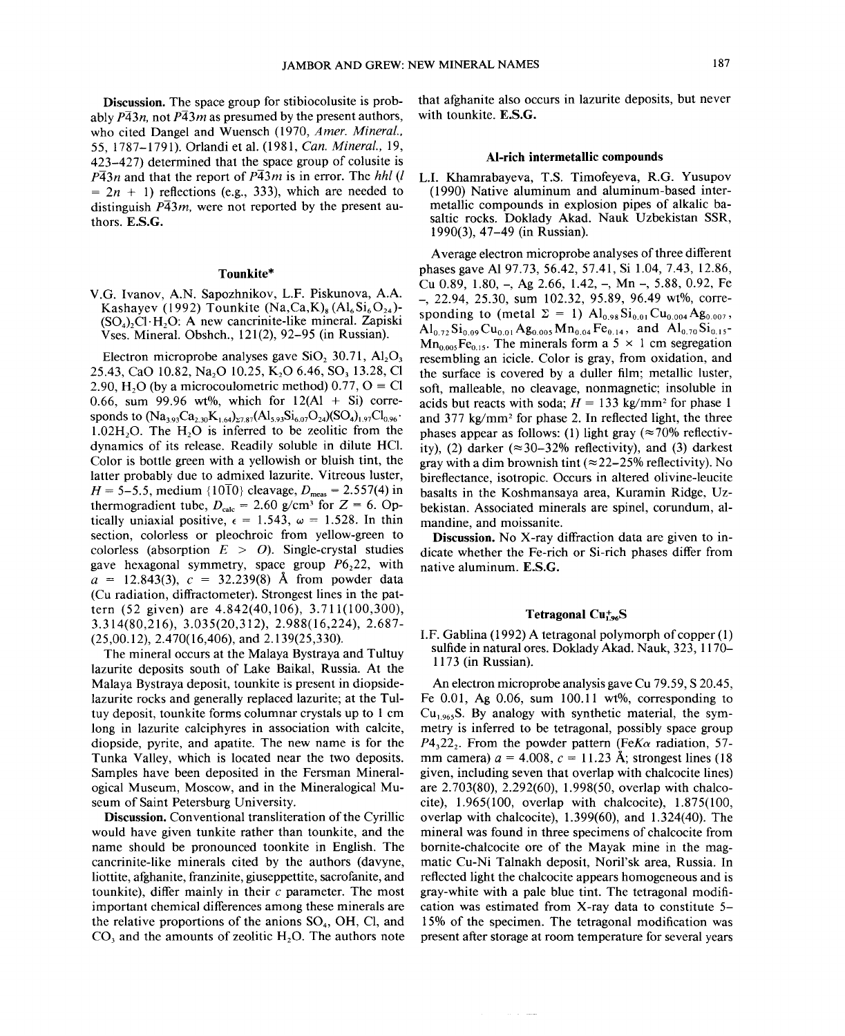Discussion. The space group for stibiocolusite is probably  $P\overline{4}3n$ , not  $P\overline{4}3m$  as presumed by the present authors, who cited Dangel and Wuensch (1970, *A mer. Mineral.,* 55, 1787-1791). Orlandi et al. (1981, *Can. Mineral., 19,* 423-427) determined that the space group of colusite is  $P\overline{4}3n$  and that the report of  $P\overline{4}3m$  is in error. The *hhl* (*l*  $= 2n + 1$ ) reflections (e.g., 333), which are needed to distinguish  $P\overline{4}3m$ , were not reported by the present authors. E.S.G.

## Tounkite\*

V.G. Ivanov, A.N. Sapozhnikov, L.F. Piskunova, A.A. Kashayev (1992) Tounkite  $(Na,Ca,K)_{8} (Al_{6}Si_{6}O_{24})$ - $(SO<sub>4</sub>), C1$  H<sub>2</sub>O: A new cancrinite-like mineral. Zapiski Vses. Mineral. Obshch., 121(2),92-95 (in Russian).

Electron microprobe analyses gave SiO,  $30.71$ , Al<sub>2</sub>O<sub>3</sub> 25.43, CaO 10.82, Na<sub>2</sub>O 10.25, K<sub>2</sub>O 6.46, SO<sub>3</sub> 13.28, Cl 2.90, H<sub>2</sub>O (by a microcoulometric method) 0.77,  $O \equiv Cl$ 0.66, sum 99.96 wt%, which for  $12(A1 + Si)$  corresponds to  $(Na_{3,93}Ca_{2,30}K_{1,64})_{27,87}(Al_{5,93}Si_{6,07}O_{24})(SO_4)_{1,97}Cl_{0,96}$ .  $1.02H<sub>2</sub>O$ . The H<sub>2</sub>O is inferred to be zeolitic from the dynamics of its release. Readily soluble in dilute HCI. Color is bottle green with a yellowish or bluish tint, the latter probably due to admixed lazurite. Vitreous luster, *H* = 5–5.5, medium {1010} cleavage,  $D_{\text{meas}} = 2.557(4)$  in thermogradient tube,  $D_{\text{calc}} = 2.60$  g/cm<sup>3</sup> for  $Z = 6$ . Optically uniaxial positive,  $\epsilon = 1.543$ ,  $\omega = 1.528$ . In thin section, colorless or pleochroic from yellow-green to colorless (absorption  $E > O$ ). Single-crystal studies gave hexagonal symmetry, space group  $P6<sub>2</sub>22$ , with  $a = 12.843(3)$ ,  $c = 32.239(8)$  Å from powder data (Cu radiation, diffractometer). Strongest lines in the pattern (52 given) are 4.842(40,106), 3.711(100,300), 3.314(80,216), 3.035(20,312), 2.988(16,224), 2.687- (25,00.12), 2.470(16,406), and 2.139(25,330).

The mineral occurs at the Malaya Bystraya and Tultuy lazurite deposits south of Lake Baikal, Russia. At the Malaya Bystraya deposit, tounkite is present in diopsidelazurite rocks and generally replaced lazurite; at the Tultuy deposit, tounkite forms columnar crystals up to 1 cm long in lazurite calciphyres in association with calcite, diopside, pyrite, and apatite. The new name is for the Tunka Valley, which is located near the two deposits. Samples have been deposited in the Fersman Mineralogical Museum, Moscow, and in the Mineralogical Museum of Saint Petersburg University.

Discussion. Conventional transliteration of the Cyrillic would have given tunkite rather than tounkite, and the name should be pronounced toonkite in English. The cancrinite-like minerals cited by the authors (davyne, liottite, afghanite, franzinite, giuseppettite, sacrofanite, and tounkite), differ mainly in their  $c$  parameter. The most important chemical differences among these minerals are the relative proportions of the anions  $SO<sub>4</sub>$ , OH, Cl, and  $CO<sub>3</sub>$  and the amounts of zeolitic H<sub>2</sub>O. The authors note that afghanite also occurs in lazurite deposits, but never with tounkite. E.S.G.

#### AI-rich intermetallic compounds

L.L Khamrabayeva, T.S. Timofeyeva, R.G. Yusupov (1990) Native aluminum and aluminum-based intermetallic compounds in explosion pipes of alkalic basaltic rocks. Doklady Akad. Nauk Uzbekistan SSR, 1990(3),47-49 (in Russian).

Average electron microprobe analyses of three different phases gave Al 97.73,56.42,57.41, Si 1.04, 7.43, 12.86, Cu  $0.89, 1.80, -$ , Ag  $2.66, 1.42, -$ , Mn  $-$ , 5.88, 0.92, Fe -, 22.94, 25.30, sum 102.32, 95.89, 96.49 wt%, corresponding to (metal  $\Sigma = 1$ )  $Al_{0.98}Si_{0.01}Cu_{0.004}Ag_{0.007}$ ,  $\text{Al}_{0.72}\text{Si}_{0.09}\text{Cu}_{0.01}\text{Ag}_{0.005}\text{Mn}_{0.04}\text{Fe}_{0.14}$ , and  $\text{Al}_{0.70}\text{Si}_{0.15}$  $Mn_{0.005}Fe<sub>0.15</sub>$ . The minerals form a 5  $\times$  1 cm segregation resembling an icicle. Color is gray, from oxidation, and the surface is covered by a duller film; metallic luster, soft, malleable, no cleavage, nonmagnetic; insoluble in acids but reacts with soda;  $H = 133$  kg/mm<sup>2</sup> for phase 1 and 377 kg/mm2 for phase 2. In reflected light, the three phases appear as follows: (1) light gray ( $\approx$ 70% reflectivity), (2) darker ( $\approx$ 30–32% reflectivity), and (3) darkest gray with a dim brownish tint ( $\approx$ 22-25% reflectivity). No bireflectance, isotropic. Occurs in altered olivine-Ieucite basalts in the Koshmansaya area, Kuramin Ridge, Uzbekistan. Associated minerals are spinel, corundum, almandine, and moissanite.

Discussion. No X-ray diffraction data are given to indicate whether the Fe-rich or Si-rich phases differ from native aluminum. E.S.G.

## Tetragonal  $Cu_{1\bullet}^{+}S$

I.F. Gablina (1992) A tetragonal polymorph of copper (1) sulfide in natural ores. Doklady Akad. Nauk, 323, 1170- 1173 (in Russian).

An electron microprobe analysis gave Cu 79.59, S 20.45, Fe 0.01, Ag 0.06, sum 100.11 wt%, corresponding to  $Cu<sub>1.965</sub>S$ . By analogy with synthetic material, the symmetry is inferred to be tetragonal, possibly space group  $P4,22$ . From the powder pattern *(FeKa* radiation, 57mm camera)  $a = 4.008$ ,  $c = 11.23$  Å; strongest lines (18) given, including seven that overlap with chalcocite lines) are 2.703(80), 2.292(60), 1.998(50, overlap with chalcocite), 1.965(100, overlap with chalcocite), 1.875(100, overlap with chalcocite), 1.399(60), and 1.324(40). The mineral was found in three specimens of chalcocite from bornite-chalcocite ore of the Mayak mine in the magmatic Cu-Ni Talnakh deposit, Noril'sk area, Russia. In reflected light the chalcocite appears homogeneous and is gray-white with a pale blue tint. The tetragonal modification was estimated from X-ray data to constitute 5- 15% of the specimen. The tetragonal modification was present after storage at room temperature for several years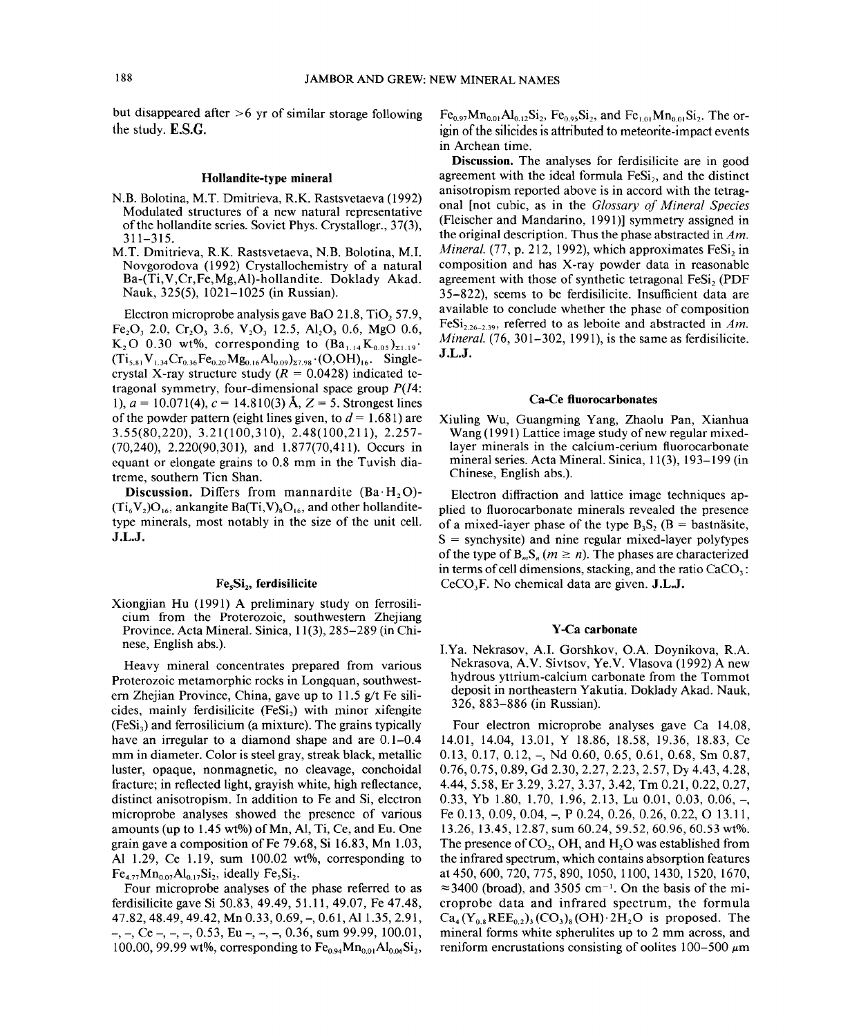but disappeared after  $>6$  yr of similar storage following the study. E.S.G.

# Hollandite-type mineral

- N.B. Bolotina, M.T. Dmitrieva, R.K. Rastsvetaeva (1992) Modulated structures of a new natural representative of the hollandite series. Soviet Phys. Crystallogr., 37(3), 311-315.
- M. T. Dmitrieva, R.K. Rastsvetaeva, N.B. Bolotina, M.I. Novgorodova (1992) Crystallochemistry of a natural Ba-(Ti, V ,Cr,Fe,Mg,Al)-hollandite. Doklady Akad. Nauk, 325(5), 1021-1025 (in Russian).

Electron microprobe analysis gave BaO  $21.8$ , TiO, 57.9, Fe<sub>2</sub>O<sub>3</sub> 2.0, Cr<sub>2</sub>O<sub>3</sub> 3.6, V<sub>2</sub>O<sub>3</sub> 12.5, Al<sub>2</sub>O<sub>3</sub> 0.6, MgO 0.6, K<sub>2</sub>O 0.30 wt%, corresponding to  $(Ba_{1,14}K_{0.05})_{\tau_{1,19}}$ .  $(Ti_{5.81}V_{1.34}Cr_{0.36}Fe_{0.20}Mg_{0.16}Al_{0.09})_{z7.98}$   $\cdot (O,OH)_{16}$ . Singlecrystal X-ray structure study  $(R = 0.0428)$  indicated tetragonal symmetry, four-dimensional space group *P(I4:* 1),  $a = 10.071(4)$ ,  $c = 14.810(3)$  Å,  $Z = 5$ . Strongest lines of the powder pattern (eight lines given, to  $d = 1.681$ ) are 3.55(80,220), 3.21(100,310), 2.48(100,211), 2.257- (70,240), 2.220(90,301), and 1.877(70,411). Occurs in equant or elongate grains to 0.8 mm in the Tuvish diatreme, southern Tien Shan.

Discussion. Differs from mannardite  $(Ba \cdot H, O)$ - $(Ti_6V_2)O_{16}$ , ankangite Ba(Ti,V)<sub>8</sub>O<sub>16</sub>, and other hollanditetype minerals, most notably in the size of the unit cell. J.L.J.

# Fe<sub>s</sub>Si<sub>2</sub>, ferdisilicite

Xiongjian Hu (1991) A preliminary study on ferrosilicium from the Proterozoic, southwestern Zhejiang Province. Acta Mineral. Sinica, 11(3),285-289 (in Chinese, English abs.).

Heavy mineral concentrates prepared from various Proterozoic metamorphic rocks in Longquan, southwestern Zhejian Province, China, gave up to  $11.5$  g/t Fe silicides, mainly ferdisilicite  $(Fesi<sub>2</sub>)$  with minor xifengite  $(FeSi<sub>3</sub>)$  and ferrosilicium (a mixture). The grains typically have an irregular to a diamond shape and are  $0.1-0.4$ mm in diameter. Color is steel gray, streak black, metallic luster, opaque, nonmagnetic, no cleavage, conchoidal fracture; in reflected light, grayish white, high reflectance, distinct anisotropism. In addition to Fe and Si, electron microprobe analyses showed the presence of various amounts (up to  $1.45$  wt%) of Mn, Al, Ti, Ce, and Eu. One grain gave a composition of Fe 79.68, Si 16.83, Mn 1.03, Al 1.29, Ce 1.19, sum 100.02 wt%, corresponding to  $Fe_{4.77}Mn_{0.07}Al_{0.17}Si_2$ , ideally  $Fe_5Si_2$ .

Four microprobe analyses of the phase referred to as ferdisilicite gave Si 50.83, 49.49, 51.11, 49.07, Fe 47.48, 47.82,48.49,49.42, Mn 0.33, 0.69, -,0.61, Al 1.35, 2.91,  $-$ ,  $-$ ,  $Ce -$ ,  $-$ ,  $-$ , 0.53, Eu  $-$ ,  $-$ ,  $-$ , 0.36, sum 99.99, 100.01, 100.00, 99.99 wt%, corresponding to  $Fe_{0.94}Mn_{0.01}Al_{0.06}Si_2$ ,

 $Fe_{0.97}Mn_{0.01}Al_{0.12}Si_2$ ,  $Fe_{0.95}Si_2$ , and  $Fe_{1.01}Mn_{0.01}Si_2$ . The origin of the silicides is attributed to meteorite-impact events in Archean time.

Discussion. The analyses for ferdisilicite are in good agreement with the ideal formula  $Fesi<sub>2</sub>$ , and the distinct anisotropism reported above is in accord with the tetragonal [not cubic, as in the *Glossary of Mineral Species* (Fleischer and Mandarino, 1991)] symmetry assigned in the original description. Thus the phase abstracted in *Am. Mineral.* (77, p. 212, 1992), which approximates FeSi, in composition and has X-ray powder data in reasonable agreement with those of synthetic tetragonal FeSi, (PDF) 35-822), seems to be ferdisilicite. Insufficient data are available to conclude whether the phase of composition FeSi<sub>226-239</sub>, referred to as leboite and abstracted in *Am*. *Mineral.* (76, 301–302, 1991), is the same as ferdisilicite. J.L.J.

## Ca-Ce fluorocarbonates

Xiuling Wu, Guangming Yang, Zhaolu Pan, Xianhua Wang (1991) Lattice image study of new regular mixedlayer minerals in the calcium-cerium fluorocarbonate mineral series. Acta Mineral. Sinica, 11(3), 193-199 (in Chinese, English abs.).

Electron diffraction and lattice image techniques applied to fluorocarbonate minerals revealed the presence of a mixed-layer phase of the type  $B_3S_2$  ( $B =$  bastnasite,  $S =$  synchysite) and nine regular mixed-layer polytypes of the type of  $B_mS_n$  ( $m \ge n$ ). The phases are characterized in terms of cell dimensions, stacking, and the ratio  $CaCO<sub>3</sub>$ :  $CeCO<sub>3</sub>F.$  No chemical data are given. **J.L.J.** 

# Y-Ca carbonate

I.Ya. Nekrasov, AI. Gorshkov, O.A Doynikova, R.A Nekrasova, AV. Sivtsov, Ye.V. Vlasova (1992) A new hydrous yttrium-calcium carbonate from the Tommot deposit in northeastern Yakutia. Doklady Akad. Nauk, 326, 883-886 (in Russian).

Four electron microprobe analyses gave Ca 14.08, 14.01, 14.04, 13.01, Y 18.86, 18.58, 19.36, 18.83, Ce 0.13, 0.17, 0.12, -, Nd 0.60, 0.65, 0.61, 0.68, Sm 0.87, 0.76,0.75,0.89, Gd 2.30, 2.27, 2.23, 2.57, Dy 4.43, 4.28, 4.44,5.58, Er 3.29,3.27,3.37,3.42, Tm 0.21, 0.22, 0.27, 0.33, Yb 1.80, 1.70, 1.96, 2.13, Lu 0.01, 0.03, 0.06, -, Fe 0.13, 0.09, 0.04, -, P 0.24, 0.26, 0.26, 0.22, 0 13.11, 13.26,13.45, 12.87, sum 60.24,59.52,60.96,60.53 wt%. The presence of  $CO<sub>2</sub>$ , OH, and H<sub>2</sub>O was established from the infrared spectrum, which contains absorption features at 450, 600, 720, 775, 890, 1050, 1100, 1430, 1520, 1670,  $\approx$ 3400 (broad), and 3505 cm<sup>-1</sup>. On the basis of the microprobe data and infrared spectrum, the formula  $Ca_4(Y_{0.8}REE_{0.2})$ <sub>3</sub>(CO<sub>3</sub>)<sub>8</sub>(OH)·2H<sub>2</sub>O is proposed. The mineral forms white spherulites up to 2 mm across, and reniform encrustations consisting of oolites  $100-500 \mu m$